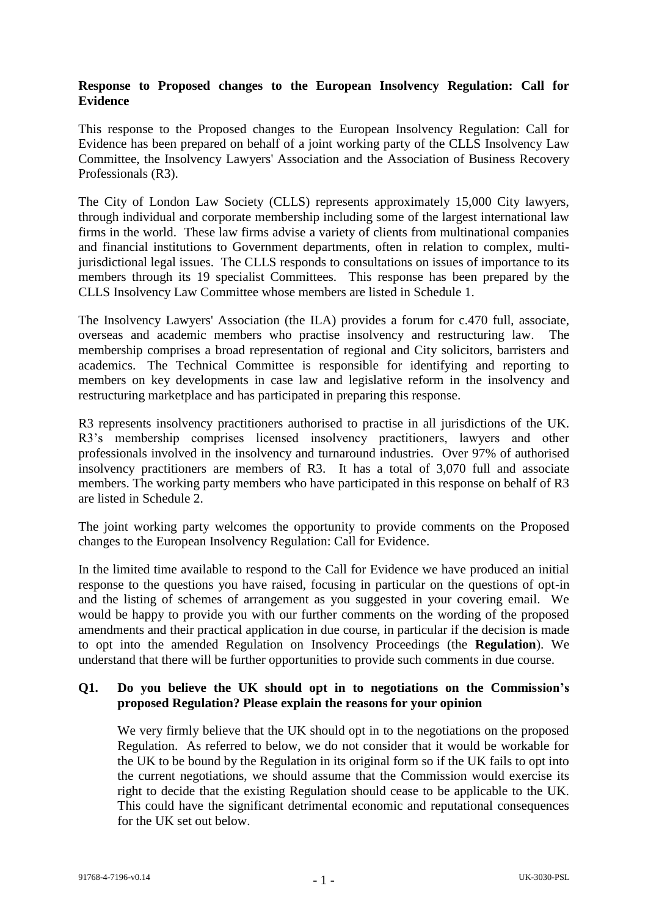## **Response to Proposed changes to the European Insolvency Regulation: Call for Evidence**

This response to the Proposed changes to the European Insolvency Regulation: Call for Evidence has been prepared on behalf of a joint working party of the CLLS Insolvency Law Committee, the Insolvency Lawyers' Association and the Association of Business Recovery Professionals (R3).

The City of London Law Society (CLLS) represents approximately 15,000 City lawyers, through individual and corporate membership including some of the largest international law firms in the world. These law firms advise a variety of clients from multinational companies and financial institutions to Government departments, often in relation to complex, multijurisdictional legal issues. The CLLS responds to consultations on issues of importance to its members through its 19 specialist Committees. This response has been prepared by the CLLS Insolvency Law Committee whose members are listed in Schedule 1.

The Insolvency Lawyers' Association (the ILA) provides a forum for c.470 full, associate, overseas and academic members who practise insolvency and restructuring law. The membership comprises a broad representation of regional and City solicitors, barristers and academics. The Technical Committee is responsible for identifying and reporting to members on key developments in case law and legislative reform in the insolvency and restructuring marketplace and has participated in preparing this response.

R3 represents insolvency practitioners authorised to practise in all jurisdictions of the UK. R3's membership comprises licensed insolvency practitioners, lawyers and other professionals involved in the insolvency and turnaround industries. Over 97% of authorised insolvency practitioners are members of R3. It has a total of 3,070 full and associate members. The working party members who have participated in this response on behalf of R3 are listed in Schedule 2.

The joint working party welcomes the opportunity to provide comments on the Proposed changes to the European Insolvency Regulation: Call for Evidence.

In the limited time available to respond to the Call for Evidence we have produced an initial response to the questions you have raised, focusing in particular on the questions of opt-in and the listing of schemes of arrangement as you suggested in your covering email. We would be happy to provide you with our further comments on the wording of the proposed amendments and their practical application in due course, in particular if the decision is made to opt into the amended Regulation on Insolvency Proceedings (the **Regulation**). We understand that there will be further opportunities to provide such comments in due course.

## **Q1. Do you believe the UK should opt in to negotiations on the Commission's proposed Regulation? Please explain the reasons for your opinion**

We very firmly believe that the UK should opt in to the negotiations on the proposed Regulation. As referred to below, we do not consider that it would be workable for the UK to be bound by the Regulation in its original form so if the UK fails to opt into the current negotiations, we should assume that the Commission would exercise its right to decide that the existing Regulation should cease to be applicable to the UK. This could have the significant detrimental economic and reputational consequences for the UK set out below.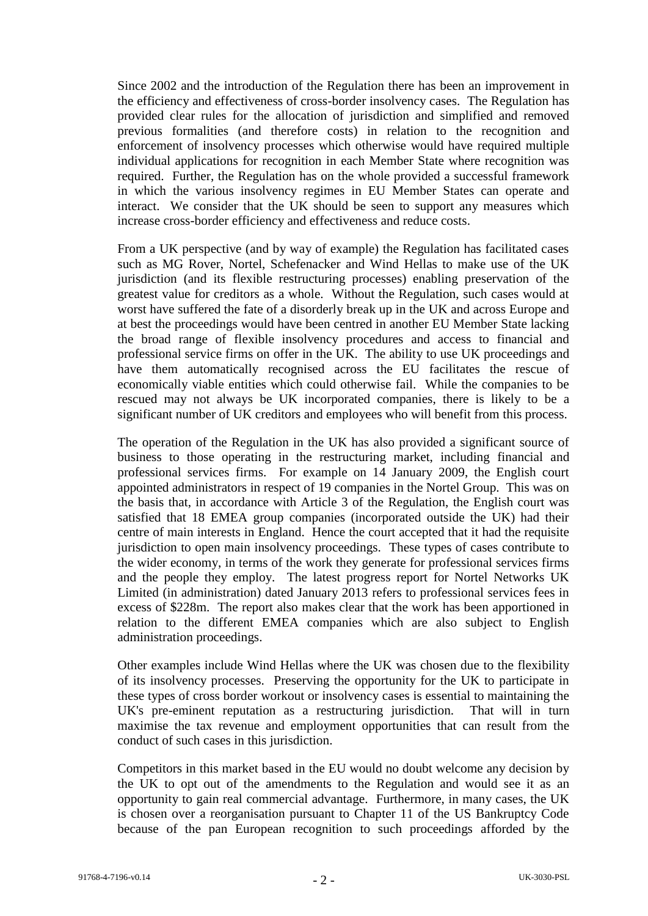Since 2002 and the introduction of the Regulation there has been an improvement in the efficiency and effectiveness of cross-border insolvency cases. The Regulation has provided clear rules for the allocation of jurisdiction and simplified and removed previous formalities (and therefore costs) in relation to the recognition and enforcement of insolvency processes which otherwise would have required multiple individual applications for recognition in each Member State where recognition was required. Further, the Regulation has on the whole provided a successful framework in which the various insolvency regimes in EU Member States can operate and interact. We consider that the UK should be seen to support any measures which increase cross-border efficiency and effectiveness and reduce costs.

From a UK perspective (and by way of example) the Regulation has facilitated cases such as MG Rover, Nortel, Schefenacker and Wind Hellas to make use of the UK jurisdiction (and its flexible restructuring processes) enabling preservation of the greatest value for creditors as a whole. Without the Regulation, such cases would at worst have suffered the fate of a disorderly break up in the UK and across Europe and at best the proceedings would have been centred in another EU Member State lacking the broad range of flexible insolvency procedures and access to financial and professional service firms on offer in the UK. The ability to use UK proceedings and have them automatically recognised across the EU facilitates the rescue of economically viable entities which could otherwise fail. While the companies to be rescued may not always be UK incorporated companies, there is likely to be a significant number of UK creditors and employees who will benefit from this process.

The operation of the Regulation in the UK has also provided a significant source of business to those operating in the restructuring market, including financial and professional services firms. For example on 14 January 2009, the English court appointed administrators in respect of 19 companies in the Nortel Group. This was on the basis that, in accordance with Article 3 of the Regulation, the English court was satisfied that 18 EMEA group companies (incorporated outside the UK) had their centre of main interests in England. Hence the court accepted that it had the requisite jurisdiction to open main insolvency proceedings. These types of cases contribute to the wider economy, in terms of the work they generate for professional services firms and the people they employ. The latest progress report for Nortel Networks UK Limited (in administration) dated January 2013 refers to professional services fees in excess of \$228m. The report also makes clear that the work has been apportioned in relation to the different EMEA companies which are also subject to English administration proceedings.

Other examples include Wind Hellas where the UK was chosen due to the flexibility of its insolvency processes. Preserving the opportunity for the UK to participate in these types of cross border workout or insolvency cases is essential to maintaining the UK's pre-eminent reputation as a restructuring jurisdiction. That will in turn maximise the tax revenue and employment opportunities that can result from the conduct of such cases in this jurisdiction.

Competitors in this market based in the EU would no doubt welcome any decision by the UK to opt out of the amendments to the Regulation and would see it as an opportunity to gain real commercial advantage. Furthermore, in many cases, the UK is chosen over a reorganisation pursuant to Chapter 11 of the US Bankruptcy Code because of the pan European recognition to such proceedings afforded by the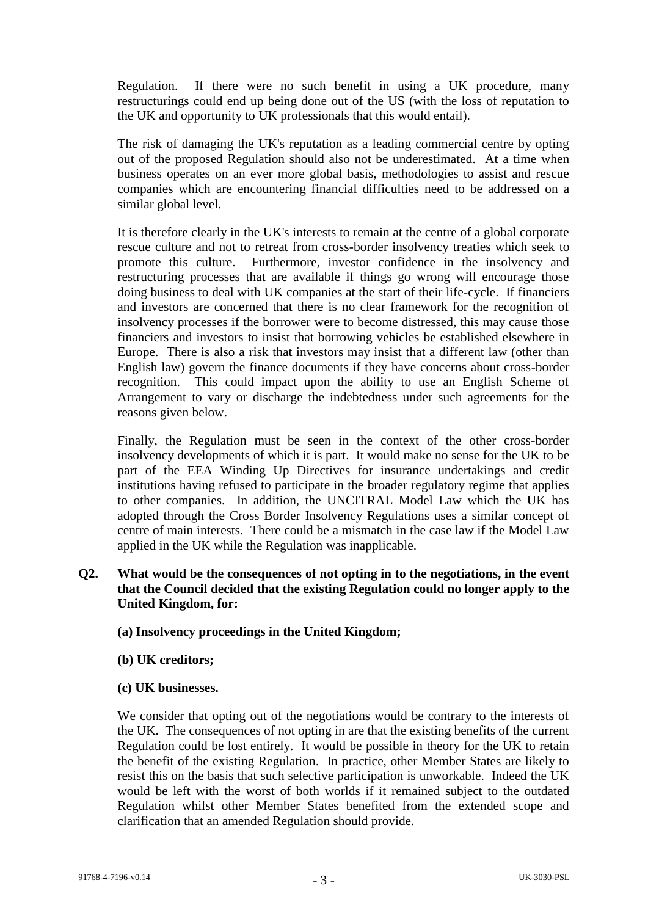Regulation. If there were no such benefit in using a UK procedure, many restructurings could end up being done out of the US (with the loss of reputation to the UK and opportunity to UK professionals that this would entail).

The risk of damaging the UK's reputation as a leading commercial centre by opting out of the proposed Regulation should also not be underestimated. At a time when business operates on an ever more global basis, methodologies to assist and rescue companies which are encountering financial difficulties need to be addressed on a similar global level.

It is therefore clearly in the UK's interests to remain at the centre of a global corporate rescue culture and not to retreat from cross-border insolvency treaties which seek to promote this culture. Furthermore, investor confidence in the insolvency and restructuring processes that are available if things go wrong will encourage those doing business to deal with UK companies at the start of their life-cycle. If financiers and investors are concerned that there is no clear framework for the recognition of insolvency processes if the borrower were to become distressed, this may cause those financiers and investors to insist that borrowing vehicles be established elsewhere in Europe. There is also a risk that investors may insist that a different law (other than English law) govern the finance documents if they have concerns about cross-border recognition. This could impact upon the ability to use an English Scheme of Arrangement to vary or discharge the indebtedness under such agreements for the reasons given below.

Finally, the Regulation must be seen in the context of the other cross-border insolvency developments of which it is part. It would make no sense for the UK to be part of the EEA Winding Up Directives for insurance undertakings and credit institutions having refused to participate in the broader regulatory regime that applies to other companies. In addition, the UNCITRAL Model Law which the UK has adopted through the Cross Border Insolvency Regulations uses a similar concept of centre of main interests. There could be a mismatch in the case law if the Model Law applied in the UK while the Regulation was inapplicable.

## **Q2. What would be the consequences of not opting in to the negotiations, in the event that the Council decided that the existing Regulation could no longer apply to the United Kingdom, for:**

- **(a) Insolvency proceedings in the United Kingdom;**
- **(b) UK creditors;**
- **(c) UK businesses.**

We consider that opting out of the negotiations would be contrary to the interests of the UK. The consequences of not opting in are that the existing benefits of the current Regulation could be lost entirely. It would be possible in theory for the UK to retain the benefit of the existing Regulation. In practice, other Member States are likely to resist this on the basis that such selective participation is unworkable. Indeed the UK would be left with the worst of both worlds if it remained subject to the outdated Regulation whilst other Member States benefited from the extended scope and clarification that an amended Regulation should provide.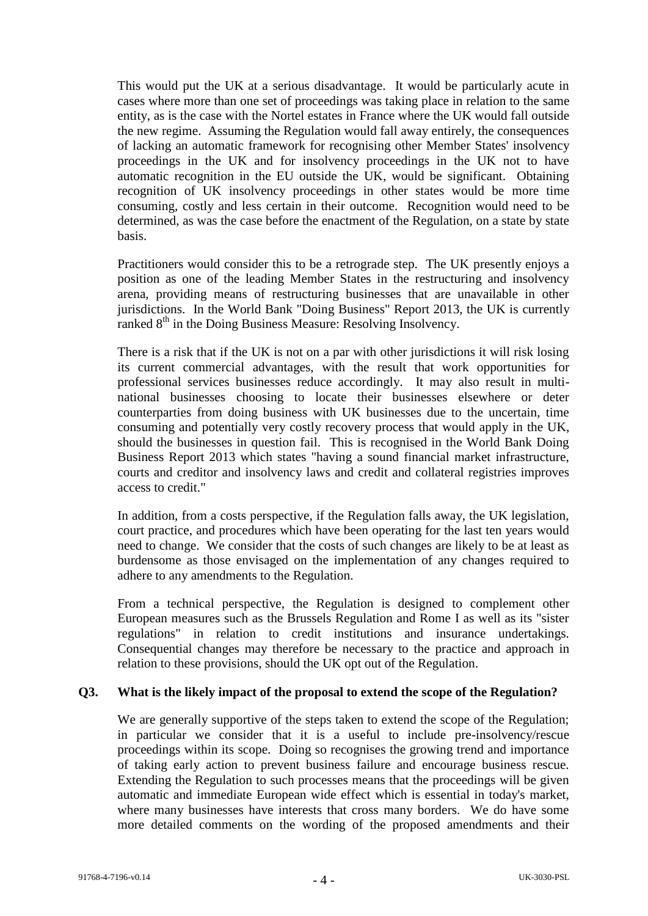This would put the UK at a serious disadvantage. It would be particularly acute in cases where more than one set of proceedings was taking place in relation to the same entity, as is the case with the Nortel estates in France where the UK would fall outside the new regime. Assuming the Regulation would fall away entirely, the consequences of lacking an automatic framework for recognising other Member States' insolvency proceedings in the UK and for insolvency proceedings in the UK not to have automatic recognition in the EU outside the UK, would be significant. Obtaining recognition of UK insolvency proceedings in other states would be more time consuming, costly and less certain in their outcome. Recognition would need to be determined, as was the case before the enactment of the Regulation, on a state by state basis.

Practitioners would consider this to be a retrograde step. The UK presently enjoys a position as one of the leading Member States in the restructuring and insolvency arena, providing means of restructuring businesses that are unavailable in other jurisdictions. In the World Bank "Doing Business" Report 2013, the UK is currently ranked 8<sup>th</sup> in the Doing Business Measure: Resolving Insolvency.

There is a risk that if the UK is not on a par with other jurisdictions it will risk losing its current commercial advantages, with the result that work opportunities for professional services businesses reduce accordingly. It may also result in multinational businesses choosing to locate their businesses elsewhere or deter counterparties from doing business with UK businesses due to the uncertain, time consuming and potentially very costly recovery process that would apply in the UK, should the businesses in question fail. This is recognised in the World Bank Doing Business Report 2013 which states "having a sound financial market infrastructure, courts and creditor and insolvency laws and credit and collateral registries improves access to credit."

In addition, from a costs perspective, if the Regulation falls away, the UK legislation, court practice, and procedures which have been operating for the last ten years would need to change. We consider that the costs of such changes are likely to be at least as burdensome as those envisaged on the implementation of any changes required to adhere to any amendments to the Regulation.

From a technical perspective, the Regulation is designed to complement other European measures such as the Brussels Regulation and Rome I as well as its "sister regulations" in relation to credit institutions and insurance undertakings. Consequential changes may therefore be necessary to the practice and approach in relation to these provisions, should the UK opt out of the Regulation.

### **Q3. What is the likely impact of the proposal to extend the scope of the Regulation?**

We are generally supportive of the steps taken to extend the scope of the Regulation; in particular we consider that it is a useful to include pre-insolvency/rescue proceedings within its scope. Doing so recognises the growing trend and importance of taking early action to prevent business failure and encourage business rescue. Extending the Regulation to such processes means that the proceedings will be given automatic and immediate European wide effect which is essential in today's market, where many businesses have interests that cross many borders. We do have some more detailed comments on the wording of the proposed amendments and their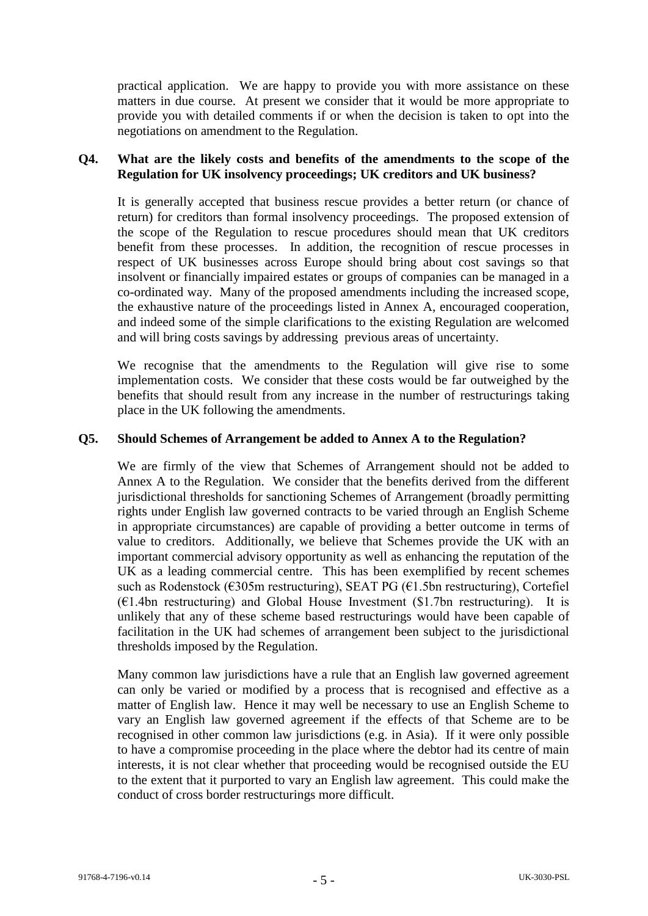practical application. We are happy to provide you with more assistance on these matters in due course. At present we consider that it would be more appropriate to provide you with detailed comments if or when the decision is taken to opt into the negotiations on amendment to the Regulation.

## **Q4. What are the likely costs and benefits of the amendments to the scope of the Regulation for UK insolvency proceedings; UK creditors and UK business?**

It is generally accepted that business rescue provides a better return (or chance of return) for creditors than formal insolvency proceedings. The proposed extension of the scope of the Regulation to rescue procedures should mean that UK creditors benefit from these processes. In addition, the recognition of rescue processes in respect of UK businesses across Europe should bring about cost savings so that insolvent or financially impaired estates or groups of companies can be managed in a co-ordinated way. Many of the proposed amendments including the increased scope, the exhaustive nature of the proceedings listed in Annex A, encouraged cooperation, and indeed some of the simple clarifications to the existing Regulation are welcomed and will bring costs savings by addressing previous areas of uncertainty.

We recognise that the amendments to the Regulation will give rise to some implementation costs. We consider that these costs would be far outweighed by the benefits that should result from any increase in the number of restructurings taking place in the UK following the amendments.

## **Q5. Should Schemes of Arrangement be added to Annex A to the Regulation?**

We are firmly of the view that Schemes of Arrangement should not be added to Annex A to the Regulation. We consider that the benefits derived from the different jurisdictional thresholds for sanctioning Schemes of Arrangement (broadly permitting rights under English law governed contracts to be varied through an English Scheme in appropriate circumstances) are capable of providing a better outcome in terms of value to creditors. Additionally, we believe that Schemes provide the UK with an important commercial advisory opportunity as well as enhancing the reputation of the UK as a leading commercial centre. This has been exemplified by recent schemes such as Rodenstock (€305m restructuring), SEAT PG (€1.5bn restructuring), Cortefiel  $(E1.4bn$  restructuring) and Global House Investment (\$1.7bn restructuring). It is unlikely that any of these scheme based restructurings would have been capable of facilitation in the UK had schemes of arrangement been subject to the jurisdictional thresholds imposed by the Regulation.

Many common law jurisdictions have a rule that an English law governed agreement can only be varied or modified by a process that is recognised and effective as a matter of English law. Hence it may well be necessary to use an English Scheme to vary an English law governed agreement if the effects of that Scheme are to be recognised in other common law jurisdictions (e.g. in Asia). If it were only possible to have a compromise proceeding in the place where the debtor had its centre of main interests, it is not clear whether that proceeding would be recognised outside the EU to the extent that it purported to vary an English law agreement. This could make the conduct of cross border restructurings more difficult.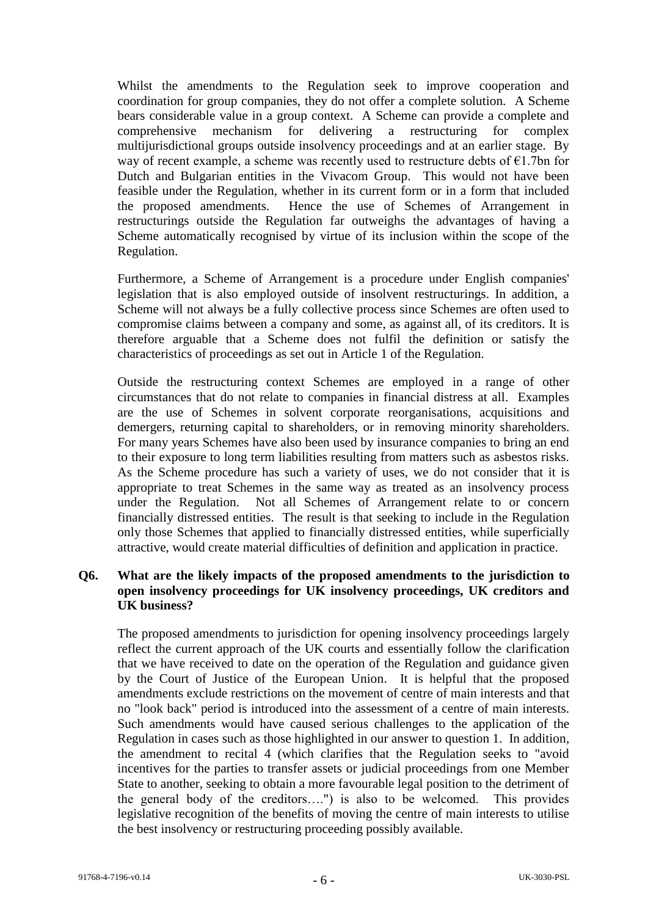Whilst the amendments to the Regulation seek to improve cooperation and coordination for group companies, they do not offer a complete solution. A Scheme bears considerable value in a group context. A Scheme can provide a complete and comprehensive mechanism for delivering a restructuring for complex multijurisdictional groups outside insolvency proceedings and at an earlier stage. By way of recent example, a scheme was recently used to restructure debts of  $E1$ . 7bn for Dutch and Bulgarian entities in the Vivacom Group. This would not have been feasible under the Regulation, whether in its current form or in a form that included the proposed amendments. Hence the use of Schemes of Arrangement in restructurings outside the Regulation far outweighs the advantages of having a Scheme automatically recognised by virtue of its inclusion within the scope of the Regulation.

Furthermore, a Scheme of Arrangement is a procedure under English companies' legislation that is also employed outside of insolvent restructurings. In addition, a Scheme will not always be a fully collective process since Schemes are often used to compromise claims between a company and some, as against all, of its creditors. It is therefore arguable that a Scheme does not fulfil the definition or satisfy the characteristics of proceedings as set out in Article 1 of the Regulation.

Outside the restructuring context Schemes are employed in a range of other circumstances that do not relate to companies in financial distress at all. Examples are the use of Schemes in solvent corporate reorganisations, acquisitions and demergers, returning capital to shareholders, or in removing minority shareholders. For many years Schemes have also been used by insurance companies to bring an end to their exposure to long term liabilities resulting from matters such as asbestos risks. As the Scheme procedure has such a variety of uses, we do not consider that it is appropriate to treat Schemes in the same way as treated as an insolvency process under the Regulation. Not all Schemes of Arrangement relate to or concern financially distressed entities. The result is that seeking to include in the Regulation only those Schemes that applied to financially distressed entities, while superficially attractive, would create material difficulties of definition and application in practice.

## **Q6. What are the likely impacts of the proposed amendments to the jurisdiction to open insolvency proceedings for UK insolvency proceedings, UK creditors and UK business?**

The proposed amendments to jurisdiction for opening insolvency proceedings largely reflect the current approach of the UK courts and essentially follow the clarification that we have received to date on the operation of the Regulation and guidance given by the Court of Justice of the European Union. It is helpful that the proposed amendments exclude restrictions on the movement of centre of main interests and that no "look back" period is introduced into the assessment of a centre of main interests. Such amendments would have caused serious challenges to the application of the Regulation in cases such as those highlighted in our answer to question 1. In addition, the amendment to recital 4 (which clarifies that the Regulation seeks to "avoid incentives for the parties to transfer assets or judicial proceedings from one Member State to another, seeking to obtain a more favourable legal position to the detriment of the general body of the creditors….") is also to be welcomed. This provides legislative recognition of the benefits of moving the centre of main interests to utilise the best insolvency or restructuring proceeding possibly available.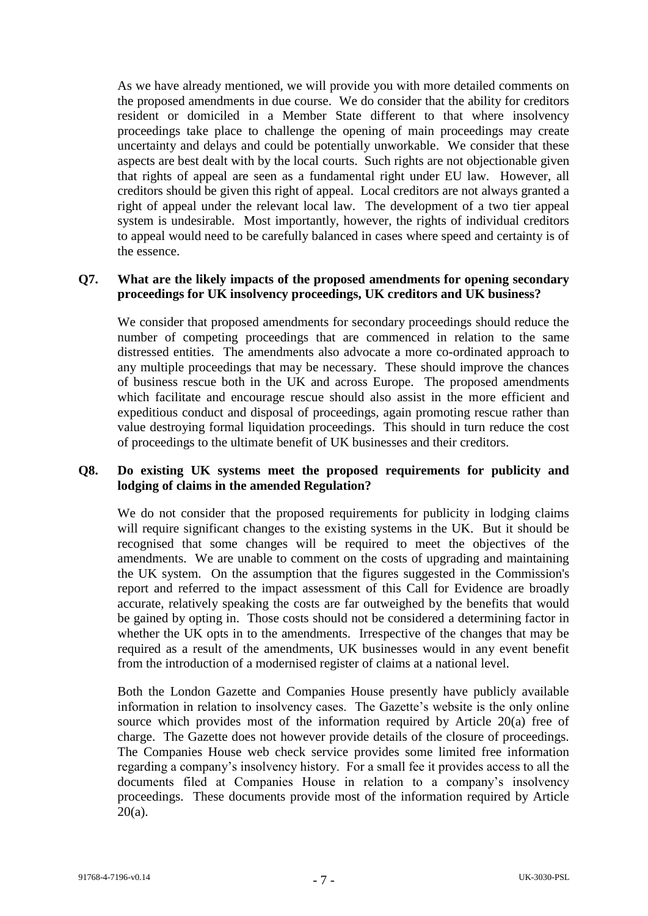As we have already mentioned, we will provide you with more detailed comments on the proposed amendments in due course. We do consider that the ability for creditors resident or domiciled in a Member State different to that where insolvency proceedings take place to challenge the opening of main proceedings may create uncertainty and delays and could be potentially unworkable. We consider that these aspects are best dealt with by the local courts. Such rights are not objectionable given that rights of appeal are seen as a fundamental right under EU law. However, all creditors should be given this right of appeal. Local creditors are not always granted a right of appeal under the relevant local law. The development of a two tier appeal system is undesirable. Most importantly, however, the rights of individual creditors to appeal would need to be carefully balanced in cases where speed and certainty is of the essence.

#### **Q7. What are the likely impacts of the proposed amendments for opening secondary proceedings for UK insolvency proceedings, UK creditors and UK business?**

We consider that proposed amendments for secondary proceedings should reduce the number of competing proceedings that are commenced in relation to the same distressed entities. The amendments also advocate a more co-ordinated approach to any multiple proceedings that may be necessary. These should improve the chances of business rescue both in the UK and across Europe. The proposed amendments which facilitate and encourage rescue should also assist in the more efficient and expeditious conduct and disposal of proceedings, again promoting rescue rather than value destroying formal liquidation proceedings. This should in turn reduce the cost of proceedings to the ultimate benefit of UK businesses and their creditors.

## **Q8. Do existing UK systems meet the proposed requirements for publicity and lodging of claims in the amended Regulation?**

We do not consider that the proposed requirements for publicity in lodging claims will require significant changes to the existing systems in the UK. But it should be recognised that some changes will be required to meet the objectives of the amendments. We are unable to comment on the costs of upgrading and maintaining the UK system. On the assumption that the figures suggested in the Commission's report and referred to the impact assessment of this Call for Evidence are broadly accurate, relatively speaking the costs are far outweighed by the benefits that would be gained by opting in. Those costs should not be considered a determining factor in whether the UK opts in to the amendments. Irrespective of the changes that may be required as a result of the amendments, UK businesses would in any event benefit from the introduction of a modernised register of claims at a national level.

Both the London Gazette and Companies House presently have publicly available information in relation to insolvency cases. The Gazette's website is the only online source which provides most of the information required by Article 20(a) free of charge. The Gazette does not however provide details of the closure of proceedings. The Companies House web check service provides some limited free information regarding a company's insolvency history. For a small fee it provides access to all the documents filed at Companies House in relation to a company's insolvency proceedings. These documents provide most of the information required by Article  $20(a)$ .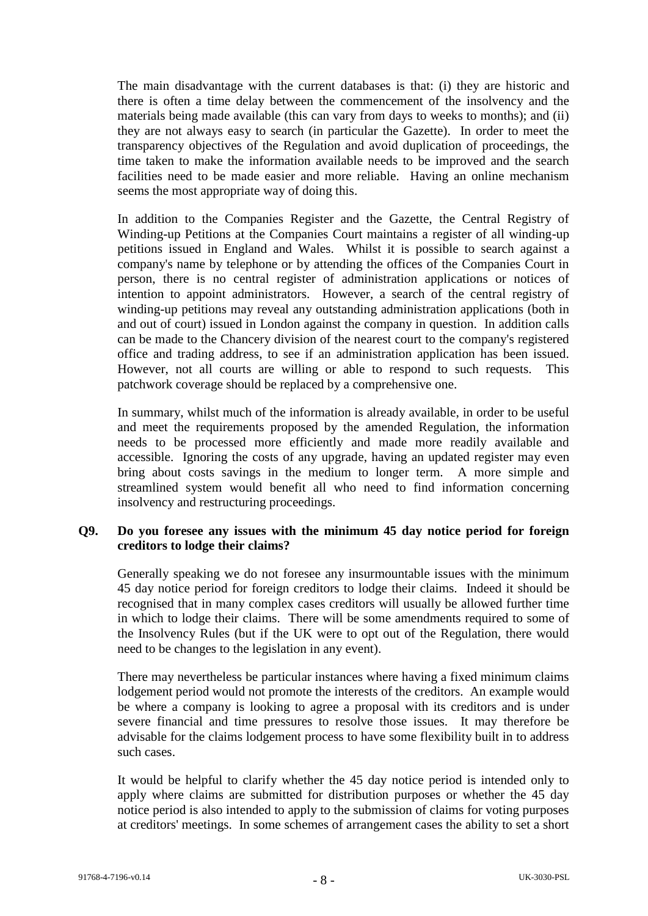The main disadvantage with the current databases is that: (i) they are historic and there is often a time delay between the commencement of the insolvency and the materials being made available (this can vary from days to weeks to months); and (ii) they are not always easy to search (in particular the Gazette). In order to meet the transparency objectives of the Regulation and avoid duplication of proceedings, the time taken to make the information available needs to be improved and the search facilities need to be made easier and more reliable. Having an online mechanism seems the most appropriate way of doing this.

In addition to the Companies Register and the Gazette, the Central Registry of Winding-up Petitions at the Companies Court maintains a register of all winding-up petitions issued in England and Wales. Whilst it is possible to search against a company's name by telephone or by attending the offices of the Companies Court in person, there is no central register of administration applications or notices of intention to appoint administrators. However, a search of the central registry of winding-up petitions may reveal any outstanding administration applications (both in and out of court) issued in London against the company in question. In addition calls can be made to the Chancery division of the nearest court to the company's registered office and trading address, to see if an administration application has been issued. However, not all courts are willing or able to respond to such requests. This patchwork coverage should be replaced by a comprehensive one.

In summary, whilst much of the information is already available, in order to be useful and meet the requirements proposed by the amended Regulation, the information needs to be processed more efficiently and made more readily available and accessible. Ignoring the costs of any upgrade, having an updated register may even bring about costs savings in the medium to longer term. A more simple and streamlined system would benefit all who need to find information concerning insolvency and restructuring proceedings.

### **Q9. Do you foresee any issues with the minimum 45 day notice period for foreign creditors to lodge their claims?**

Generally speaking we do not foresee any insurmountable issues with the minimum 45 day notice period for foreign creditors to lodge their claims. Indeed it should be recognised that in many complex cases creditors will usually be allowed further time in which to lodge their claims. There will be some amendments required to some of the Insolvency Rules (but if the UK were to opt out of the Regulation, there would need to be changes to the legislation in any event).

There may nevertheless be particular instances where having a fixed minimum claims lodgement period would not promote the interests of the creditors. An example would be where a company is looking to agree a proposal with its creditors and is under severe financial and time pressures to resolve those issues. It may therefore be advisable for the claims lodgement process to have some flexibility built in to address such cases.

It would be helpful to clarify whether the 45 day notice period is intended only to apply where claims are submitted for distribution purposes or whether the 45 day notice period is also intended to apply to the submission of claims for voting purposes at creditors' meetings. In some schemes of arrangement cases the ability to set a short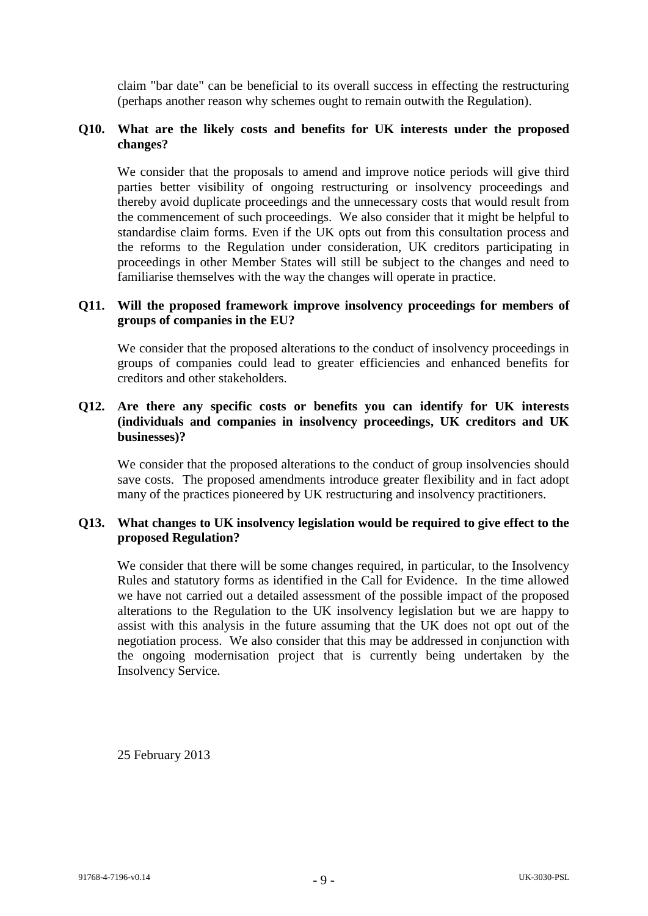claim "bar date" can be beneficial to its overall success in effecting the restructuring (perhaps another reason why schemes ought to remain outwith the Regulation).

### **Q10. What are the likely costs and benefits for UK interests under the proposed changes?**

We consider that the proposals to amend and improve notice periods will give third parties better visibility of ongoing restructuring or insolvency proceedings and thereby avoid duplicate proceedings and the unnecessary costs that would result from the commencement of such proceedings. We also consider that it might be helpful to standardise claim forms. Even if the UK opts out from this consultation process and the reforms to the Regulation under consideration, UK creditors participating in proceedings in other Member States will still be subject to the changes and need to familiarise themselves with the way the changes will operate in practice.

### **Q11. Will the proposed framework improve insolvency proceedings for members of groups of companies in the EU?**

We consider that the proposed alterations to the conduct of insolvency proceedings in groups of companies could lead to greater efficiencies and enhanced benefits for creditors and other stakeholders.

### **Q12. Are there any specific costs or benefits you can identify for UK interests (individuals and companies in insolvency proceedings, UK creditors and UK businesses)?**

We consider that the proposed alterations to the conduct of group insolvencies should save costs. The proposed amendments introduce greater flexibility and in fact adopt many of the practices pioneered by UK restructuring and insolvency practitioners.

## **Q13. What changes to UK insolvency legislation would be required to give effect to the proposed Regulation?**

We consider that there will be some changes required, in particular, to the Insolvency Rules and statutory forms as identified in the Call for Evidence. In the time allowed we have not carried out a detailed assessment of the possible impact of the proposed alterations to the Regulation to the UK insolvency legislation but we are happy to assist with this analysis in the future assuming that the UK does not opt out of the negotiation process. We also consider that this may be addressed in conjunction with the ongoing modernisation project that is currently being undertaken by the Insolvency Service.

25 February 2013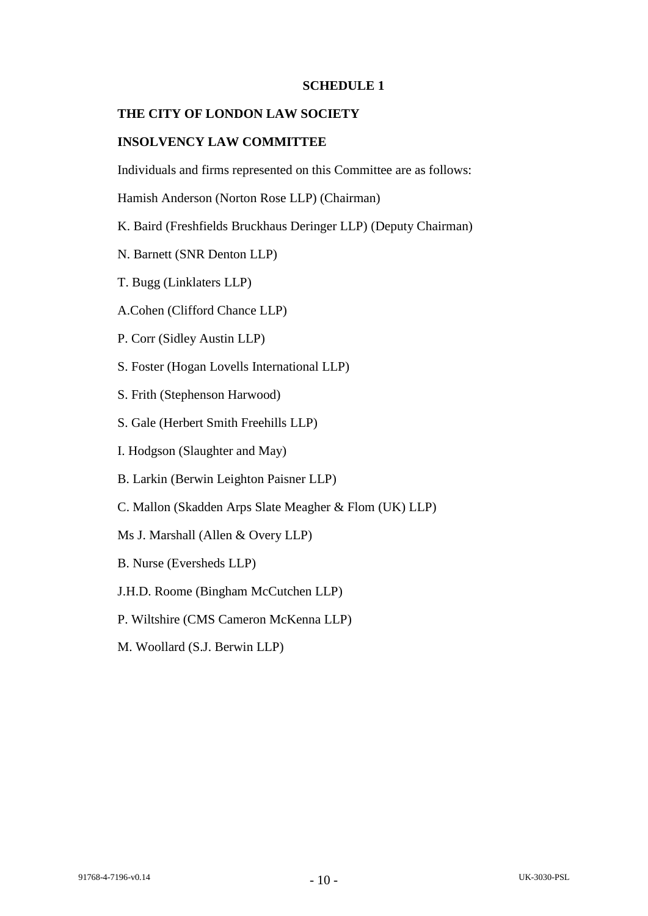### **SCHEDULE 1**

#### **THE CITY OF LONDON LAW SOCIETY**

## **INSOLVENCY LAW COMMITTEE**

Individuals and firms represented on this Committee are as follows:

Hamish Anderson (Norton Rose LLP) (Chairman)

- K. Baird (Freshfields Bruckhaus Deringer LLP) (Deputy Chairman)
- N. Barnett (SNR Denton LLP)
- T. Bugg (Linklaters LLP)
- A.Cohen (Clifford Chance LLP)
- P. Corr (Sidley Austin LLP)
- S. Foster (Hogan Lovells International LLP)
- S. Frith (Stephenson Harwood)
- S. Gale (Herbert Smith Freehills LLP)
- I. Hodgson (Slaughter and May)
- B. Larkin (Berwin Leighton Paisner LLP)
- C. Mallon (Skadden Arps Slate Meagher & Flom (UK) LLP)
- Ms J. Marshall (Allen & Overy LLP)
- B. Nurse (Eversheds LLP)
- J.H.D. Roome (Bingham McCutchen LLP)
- P. Wiltshire (CMS Cameron McKenna LLP)
- M. Woollard (S.J. Berwin LLP)